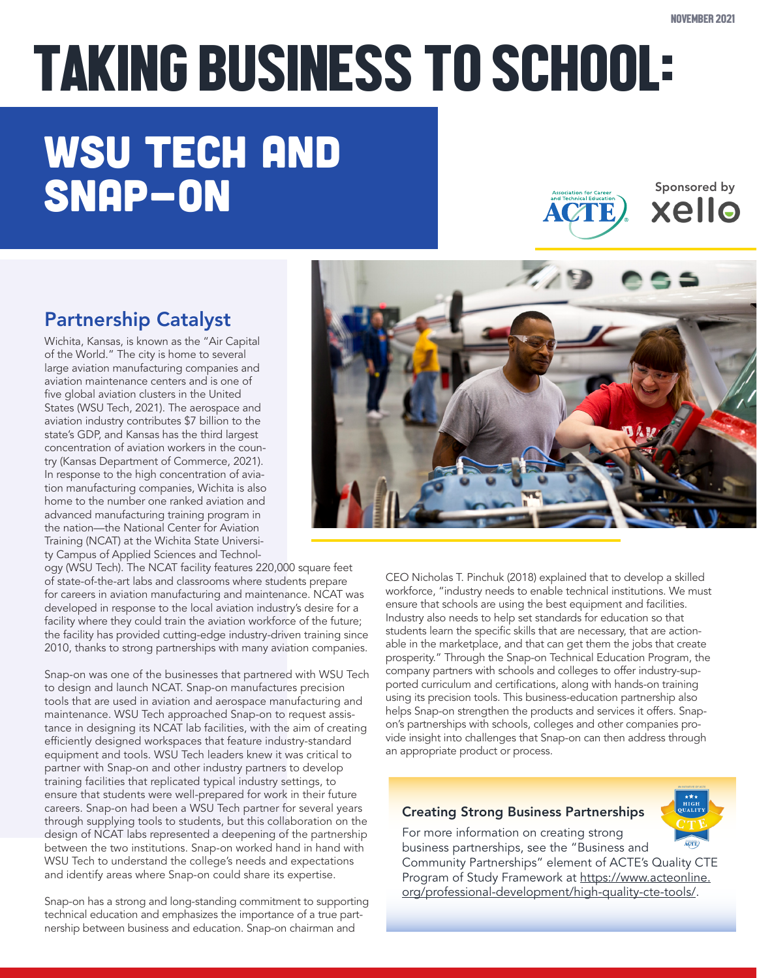# TAKING BUSINESS TO SCHOOL:

## WSU TECH AND SNAP-ON SPONSOR ACTE ACTE

Partnership Catalyst

Wichita, Kansas, is known as the "Air Capital of the World." The city is home to several large aviation manufacturing companies and aviation maintenance centers and is one of five global aviation clusters in the United States (WSU Tech, 2021). The aerospace and aviation industry contributes \$7 billion to the state's GDP, and Kansas has the third largest concentration of aviation workers in the country (Kansas Department of Commerce, 2021). In response to the high concentration of aviation manufacturing companies, Wichita is also home to the number one ranked aviation and advanced manufacturing training program in the nation—the National Center for Aviation Training (NCAT) at the Wichita State University Campus of Applied Sciences and Technol-

ogy (WSU Tech). The NCAT facility features 220,000 square feet of state-of-the-art labs and classrooms where students prepare for careers in aviation manufacturing and maintenance. NCAT was developed in response to the local aviation industry's desire for a facility where they could train the aviation workforce of the future; the facility has provided cutting-edge industry-driven training since 2010, thanks to strong partnerships with many aviation companies.

Snap-on was one of the businesses that partnered with WSU Tech to design and launch NCAT. Snap-on manufactures precision tools that are used in aviation and aerospace manufacturing and maintenance. WSU Tech approached Snap-on to request assistance in designing its NCAT lab facilities, with the aim of creating efficiently designed workspaces that feature industry-standard equipment and tools. WSU Tech leaders knew it was critical to partner with Snap-on and other industry partners to develop training facilities that replicated typical industry settings, to ensure that students were well-prepared for work in their future careers. Snap-on had been a WSU Tech partner for several years through supplying tools to students, but this collaboration on the design of NCAT labs represented a deepening of the partnership between the two institutions. Snap-on worked hand in hand with WSU Tech to understand the college's needs and expectations and identify areas where Snap-on could share its expertise.

Snap-on has a strong and long-standing commitment to supporting technical education and emphasizes the importance of a true partnership between business and education. Snap-on chairman and

CEO Nicholas T. Pinchuk (2018) explained that to develop a skilled workforce, "industry needs to enable technical institutions. We must ensure that schools are using the best equipment and facilities. Industry also needs to help set standards for education so that students learn the specific skills that are necessary, that are actionable in the marketplace, and that can get them the jobs that create prosperity." Through the Snap-on Technical Education Program, the company partners with schools and colleges to offer industry-supported curriculum and certifications, along with hands-on training using its precision tools. This business-education partnership also helps Snap-on strengthen the products and services it offers. Snapon's partnerships with schools, colleges and other companies provide insight into challenges that Snap-on can then address through an appropriate product or process.

### Creating Strong Business Partnerships

For more information on creating strong business partnerships, see the "Business and Community Partnerships" element of ACTE's Quality CTE Program of Study Framework at [https://www.acteonline.](https://www.acteonline.org/professional-development/high-quality-cte-tools/) [org/professional-development/high-quality-cte-tools/](https://www.acteonline.org/professional-development/high-quality-cte-tools/).

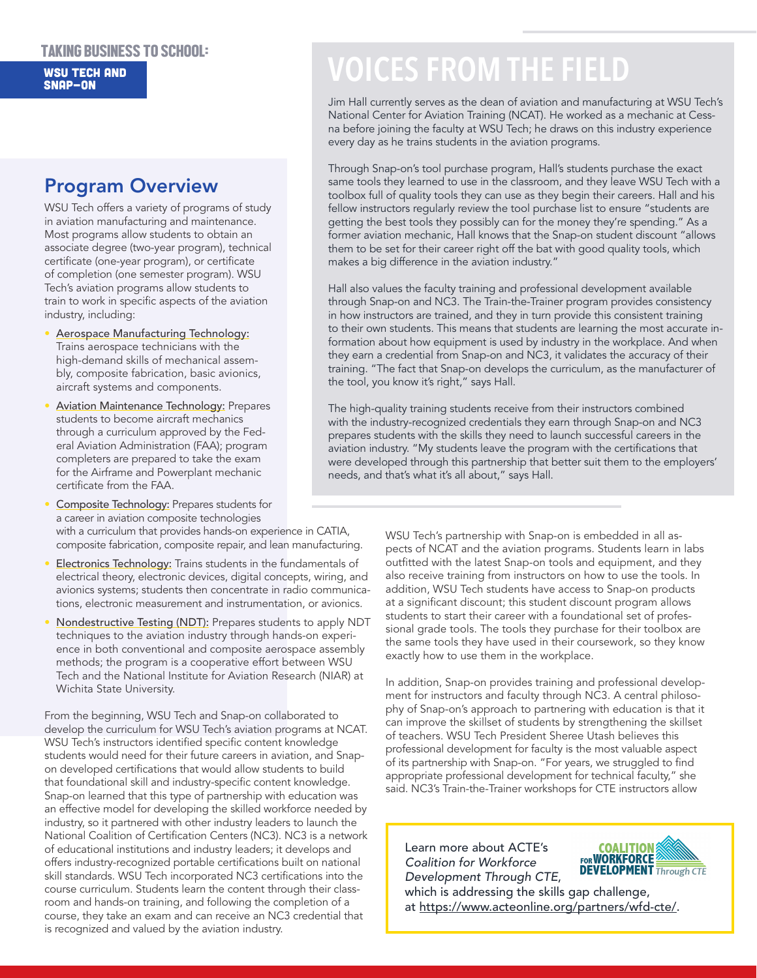#### TAKING BUSINESS TO SCHOOL: WSU TECH AND Snap-on

### Program Overview

WSU Tech offers a variety of programs of study in aviation manufacturing and maintenance. Most programs allow students to obtain an associate degree (two-year program), technical certificate (one-year program), or certificate of completion (one semester program). WSU Tech's aviation programs allow students to train to work in specific aspects of the aviation industry, including:

- Aerospace Manufacturing Technology: Trains aerospace technicians with the high-demand skills of mechanical assembly, composite fabrication, basic avionics, aircraft systems and components.
- Aviation Maintenance Technology: Prepares students to become aircraft mechanics through a curriculum approved by the Federal Aviation Administration (FAA); program completers are prepared to take the exam for the Airframe and Powerplant mechanic certificate from the FAA.
- Composite Technology: Prepares students for a career in aviation composite technologies with a curriculum that provides hands-on experience in CATIA, composite fabrication, composite repair, and lean manufacturing.
- **Electronics Technology:** Trains students in the fundamentals of electrical theory, electronic devices, digital concepts, wiring, and avionics systems; students then concentrate in radio communications, electronic measurement and instrumentation, or avionics.
- Nondestructive Testing (NDT): Prepares students to apply NDT techniques to the aviation industry through hands-on experience in both conventional and composite aerospace assembly methods; the program is a cooperative effort between WSU Tech and the National Institute for Aviation Research (NIAR) at Wichita State University.

From the beginning, WSU Tech and Snap-on collaborated to develop the curriculum for WSU Tech's aviation programs at NCAT. WSU Tech's instructors identified specific content knowledge students would need for their future careers in aviation, and Snapon developed certifications that would allow students to build that foundational skill and industry-specific content knowledge. Snap-on learned that this type of partnership with education was an effective model for developing the skilled workforce needed by industry, so it partnered with other industry leaders to launch the National Coalition of Certification Centers (NC3). NC3 is a network of educational institutions and industry leaders; it develops and offers industry-recognized portable certifications built on national skill standards. WSU Tech incorporated NC3 certifications into the course curriculum. Students learn the content through their classroom and hands-on training, and following the completion of a course, they take an exam and can receive an NC3 credential that is recognized and valued by the aviation industry.

### **VOICES FROM THE FIELD**

Jim Hall currently serves as the dean of aviation and manufacturing at WSU Tech's National Center for Aviation Training (NCAT). He worked as a mechanic at Cessna before joining the faculty at WSU Tech; he draws on this industry experience every day as he trains students in the aviation programs.

Through Snap-on's tool purchase program, Hall's students purchase the exact same tools they learned to use in the classroom, and they leave WSU Tech with a toolbox full of quality tools they can use as they begin their careers. Hall and his fellow instructors regularly review the tool purchase list to ensure "students are getting the best tools they possibly can for the money they're spending." As a former aviation mechanic, Hall knows that the Snap-on student discount "allows them to be set for their career right off the bat with good quality tools, which makes a big difference in the aviation industry."

Hall also values the faculty training and professional development available through Snap-on and NC3. The Train-the-Trainer program provides consistency in how instructors are trained, and they in turn provide this consistent training to their own students. This means that students are learning the most accurate information about how equipment is used by industry in the workplace. And when they earn a credential from Snap-on and NC3, it validates the accuracy of their training. "The fact that Snap-on develops the curriculum, as the manufacturer of the tool, you know it's right," says Hall.

The high-quality training students receive from their instructors combined with the industry-recognized credentials they earn through Snap-on and NC3 prepares students with the skills they need to launch successful careers in the aviation industry. "My students leave the program with the certifications that were developed through this partnership that better suit them to the employers' needs, and that's what it's all about," says Hall.

> WSU Tech's partnership with Snap-on is embedded in all aspects of NCAT and the aviation programs. Students learn in labs outfitted with the latest Snap-on tools and equipment, and they also receive training from instructors on how to use the tools. In addition, WSU Tech students have access to Snap-on products at a significant discount; this student discount program allows students to start their career with a foundational set of professional grade tools. The tools they purchase for their toolbox are the same tools they have used in their coursework, so they know exactly how to use them in the workplace.

> In addition, Snap-on provides training and professional development for instructors and faculty through NC3. A central philosophy of Snap-on's approach to partnering with education is that it can improve the skillset of students by strengthening the skillset of teachers. WSU Tech President Sheree Utash believes this professional development for faculty is the most valuable aspect of its partnership with Snap-on. "For years, we struggled to find appropriate professional development for technical faculty," she said. NC3's Train-the-Trainer workshops for CTE instructors allow

Learn more about ACTE's *Coalition for Workforce Development Through CTE*,



which is addressing the skills gap challenge, at<https://www.acteonline.org/partners/wfd-cte/>.